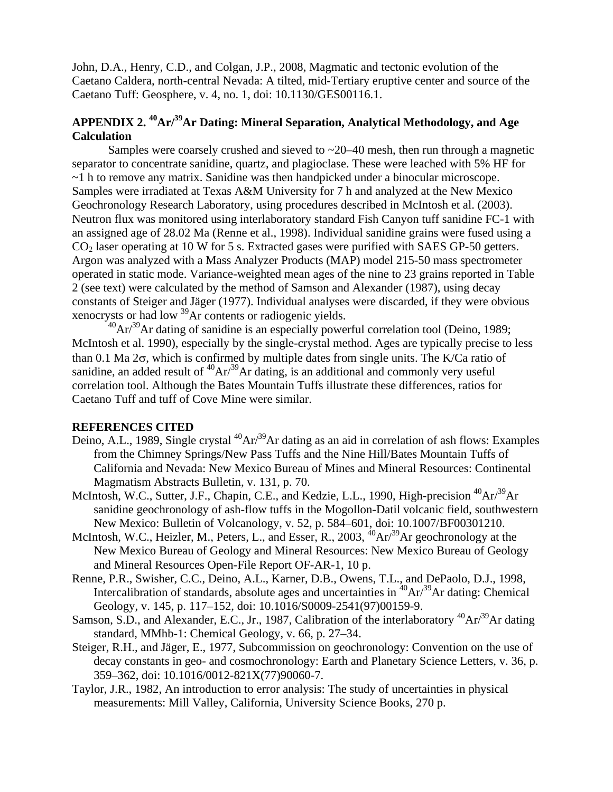John, D.A., Henry, C.D., and Colgan, J.P., 2008, Magmatic and tectonic evolution of the Caetano Caldera, north-central Nevada: A tilted, mid-Tertiary eruptive center and source of the Caetano Tuff: Geosphere, v. 4, no. 1, doi: 10.1130/GES00116.1.

# **APPENDIX 2. 40Ar/39Ar Dating: Mineral Separation, Analytical Methodology, and Age Calculation**

Samples were coarsely crushed and sieved to  $\sim$  20–40 mesh, then run through a magnetic separator to concentrate sanidine, quartz, and plagioclase. These were leached with 5% HF for  $\sim$ 1 h to remove any matrix. Sanidine was then handpicked under a binocular microscope. Samples were irradiated at Texas A&M University for 7 h and analyzed at the New Mexico Geochronology Research Laboratory, using procedures described in McIntosh et al. (2003). Neutron flux was monitored using interlaboratory standard Fish Canyon tuff sanidine FC-1 with an assigned age of 28.02 Ma (Renne et al., 1998). Individual sanidine grains were fused using a CO2 laser operating at 10 W for 5 s. Extracted gases were purified with SAES GP-50 getters. Argon was analyzed with a Mass Analyzer Products (MAP) model 215-50 mass spectrometer operated in static mode. Variance-weighted mean ages of the nine to 23 grains reported in Table 2 (see text) were calculated by the method of Samson and Alexander (1987), using decay constants of Steiger and Jäger (1977). Individual analyses were discarded, if they were obvious xenocrysts or had low 39Ar contents or radiogenic yields.

 $^{40}$ Ar $/^{39}$ Ar dating of sanidine is an especially powerful correlation tool (Deino, 1989; McIntosh et al. 1990), especially by the single-crystal method. Ages are typically precise to less than 0.1 Ma  $2\sigma$ , which is confirmed by multiple dates from single units. The K/Ca ratio of sanidine, an added result of  ${}^{40}\text{Ar}/{}^{39}\text{Ar}$  dating, is an additional and commonly very useful correlation tool. Although the Bates Mountain Tuffs illustrate these differences, ratios for Caetano Tuff and tuff of Cove Mine were similar.

## **REFERENCES CITED**

- Deino, A.L., 1989, Single crystal  ${}^{40}Ar/{}^{39}Ar$  dating as an aid in correlation of ash flows: Examples from the Chimney Springs/New Pass Tuffs and the Nine Hill/Bates Mountain Tuffs of California and Nevada: New Mexico Bureau of Mines and Mineral Resources: Continental Magmatism Abstracts Bulletin, v. 131, p. 70.
- McIntosh, W.C., Sutter, J.F., Chapin, C.E., and Kedzie, L.L., 1990, High-precision <sup>40</sup>Ar/<sup>39</sup>Ar sanidine geochronology of ash-flow tuffs in the Mogollon-Datil volcanic field, southwestern New Mexico: Bulletin of Volcanology, v. 52, p. 584–601, doi: 10.1007/BF00301210.
- McIntosh, W.C., Heizler, M., Peters, L., and Esser, R., 2003, <sup>40</sup>Ar/<sup>39</sup>Ar geochronology at the New Mexico Bureau of Geology and Mineral Resources: New Mexico Bureau of Geology and Mineral Resources Open-File Report OF-AR-1, 10 p.
- Renne, P.R., Swisher, C.C., Deino, A.L., Karner, D.B., Owens, T.L., and DePaolo, D.J., 1998, Intercalibration of standards, absolute ages and uncertainties in  ${}^{40}Ar^{39}Ar$  dating: Chemical Geology, v. 145, p. 117–152, doi: 10.1016/S0009-2541(97)00159-9.
- Samson, S.D., and Alexander, E.C., Jr., 1987, Calibration of the interlaboratory <sup>40</sup>Ar/<sup>39</sup>Ar dating standard, MMhb-1: Chemical Geology, v. 66, p. 27–34.
- Steiger, R.H., and Jäger, E., 1977, Subcommission on geochronology: Convention on the use of decay constants in geo- and cosmochronology: Earth and Planetary Science Letters, v. 36, p. 359–362, doi: 10.1016/0012-821X(77)90060-7.
- Taylor, J.R., 1982, An introduction to error analysis: The study of uncertainties in physical measurements: Mill Valley, California, University Science Books, 270 p.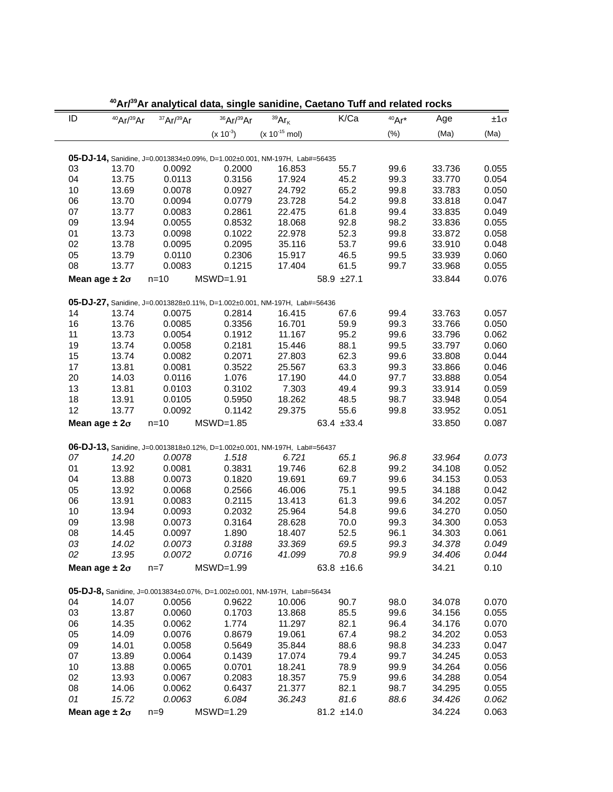| ID | AU.                             | Αľ              | analytical data, single sanidine, Caetano Turi and related rocks          |                    | K/Ca                 |         |                 |               |
|----|---------------------------------|-----------------|---------------------------------------------------------------------------|--------------------|----------------------|---------|-----------------|---------------|
|    | $40$ Ar/ $39$ Ar                | 37Ar/39Ar       | $36$ Ar/ $39$ Ar                                                          | $39Ar_K$           |                      | $40Ar*$ | Age             | $±1\sigma$    |
|    |                                 |                 | $(x 10^{-3})$                                                             | $(x 10^{-15}$ mol) |                      | (%)     | (Ma)            | (Ma)          |
|    |                                 |                 | 05-DJ-14, Sanidine, J=0.0013834±0.09%, D=1.002±0.001, NM-197H, Lab#=56435 |                    |                      |         |                 |               |
| 03 | 13.70                           | 0.0092          | 0.2000                                                                    | 16.853             | 55.7                 | 99.6    | 33.736          | 0.055         |
| 04 | 13.75                           | 0.0113          | 0.3156                                                                    | 17.924             | 45.2                 | 99.3    | 33.770          | 0.054         |
| 10 | 13.69                           | 0.0078          | 0.0927                                                                    | 24.792             | 65.2                 | 99.8    | 33.783          | 0.050         |
| 06 | 13.70                           | 0.0094          | 0.0779                                                                    | 23.728             | 54.2                 | 99.8    | 33.818          | 0.047         |
| 07 | 13.77                           | 0.0083          | 0.2861                                                                    | 22.475             | 61.8                 | 99.4    | 33.835          | 0.049         |
| 09 | 13.94                           | 0.0055          | 0.8532                                                                    | 18.068             | 92.8                 | 98.2    | 33.836          | 0.055         |
| 01 | 13.73                           | 0.0098          | 0.1022                                                                    | 22.978             | 52.3                 | 99.8    | 33.872          | 0.058         |
| 02 | 13.78                           | 0.0095          | 0.2095                                                                    | 35.116             | 53.7                 | 99.6    | 33.910          | 0.048         |
| 05 | 13.79                           | 0.0110          | 0.2306                                                                    | 15.917             | 46.5                 | 99.5    | 33.939          | 0.060         |
| 08 | 13.77                           | 0.0083          | 0.1215                                                                    | 17.404             | 61.5                 | 99.7    | 33.968          | 0.055         |
|    |                                 |                 |                                                                           |                    |                      |         |                 |               |
|    | Mean age $\pm 2\sigma$          | $n=10$          | $MSWD=1.91$                                                               |                    | 58.9 ±27.1           |         | 33.844          | 0.076         |
|    |                                 |                 | 05-DJ-27, Sanidine, J=0.0013828±0.11%, D=1.002±0.001, NM-197H, Lab#=56436 |                    |                      |         |                 |               |
| 14 | 13.74                           | 0.0075          | 0.2814                                                                    | 16.415             | 67.6                 | 99.4    | 33.763          | 0.057         |
| 16 | 13.76                           | 0.0085          | 0.3356                                                                    | 16.701             | 59.9                 | 99.3    | 33.766          | 0.050         |
| 11 | 13.73                           | 0.0054          | 0.1912                                                                    | 11.167             | 95.2                 | 99.6    | 33.796          | 0.062         |
| 19 | 13.74                           | 0.0058          | 0.2181                                                                    | 15.446             | 88.1                 | 99.5    | 33.797          | 0.060         |
| 15 | 13.74                           | 0.0082          | 0.2071                                                                    | 27.803             | 62.3                 | 99.6    | 33.808          | 0.044         |
| 17 | 13.81                           | 0.0081          | 0.3522                                                                    | 25.567             | 63.3                 | 99.3    | 33.866          | 0.046         |
| 20 | 14.03                           | 0.0116          | 1.076                                                                     | 17.190             | 44.0                 | 97.7    | 33.888          | 0.054         |
| 13 | 13.81                           | 0.0103          | 0.3102                                                                    | 7.303              | 49.4                 | 99.3    | 33.914          | 0.059         |
|    |                                 |                 |                                                                           |                    |                      |         |                 |               |
| 18 | 13.91                           | 0.0105          | 0.5950                                                                    | 18.262             | 48.5                 | 98.7    | 33.948          | 0.054         |
| 12 | 13.77                           | 0.0092          | 0.1142                                                                    | 29.375             | 55.6                 | 99.8    | 33.952          | 0.051         |
|    | Mean age $\pm 2\sigma$          | $n=10$          | $MSWD=1.85$                                                               |                    | 63.4 ±33.4           |         | 33.850          | 0.087         |
|    |                                 |                 | 06-DJ-13, Sanidine, J=0.0013818±0.12%, D=1.002±0.001, NM-197H, Lab#=56437 |                    |                      |         |                 |               |
| 07 | 14.20                           | 0.0078          | 1.518                                                                     | 6.721              | 65.1                 | 96.8    | 33.964          | 0.073         |
| 01 | 13.92                           | 0.0081          | 0.3831                                                                    | 19.746             | 62.8                 | 99.2    | 34.108          | 0.052         |
| 04 | 13.88                           | 0.0073          | 0.1820                                                                    | 19.691             | 69.7                 | 99.6    | 34.153          | 0.053         |
| 05 | 13.92                           | 0.0068          | 0.2566                                                                    | 46.006             | 75.1                 | 99.5    | 34.188          | 0.042         |
| 06 | 13.91                           | 0.0083          | 0.2115                                                                    | 13.413             | 61.3                 | 99.6    | 34.202          | 0.057         |
| 10 | 13.94                           | 0.0093          | 0.2032                                                                    | 25.964             | 54.8                 | 99.6    | 34.270          | 0.050         |
| 09 | 13.98                           | 0.0073          | 0.3164                                                                    | 28.628             | 70.0                 | 99.3    | 34.300          | 0.053         |
| 08 | 14.45                           | 0.0097          | 1.890                                                                     | 18.407             | 52.5                 | 96.1    | 34.303          | 0.061         |
| 03 | 14.02                           | 0.0073          | 0.3188                                                                    | 33.369             | 69.5                 | 99.3    | 34.378          | 0.049         |
| 02 |                                 |                 |                                                                           |                    |                      | 99.9    |                 |               |
|    | 13.95<br>Mean age $\pm 2\sigma$ | 0.0072<br>$n=7$ | 0.0716<br>$MSWD=1.99$                                                     | 41.099             | 70.8<br>63.8 $±16.6$ |         | 34.406<br>34.21 | 0.044<br>0.10 |
|    |                                 |                 |                                                                           |                    |                      |         |                 |               |
|    |                                 |                 | 05-DJ-8, Sanidine, J=0.0013834±0.07%, D=1.002±0.001, NM-197H, Lab#=56434  |                    |                      |         |                 |               |
| 04 | 14.07                           | 0.0056          | 0.9622                                                                    | 10.006             | 90.7                 | 98.0    | 34.078          | 0.070         |
| 03 | 13.87                           | 0.0060          | 0.1703                                                                    | 13.868             | 85.5                 | 99.6    | 34.156          | 0.055         |
| 06 | 14.35                           | 0.0062          | 1.774                                                                     | 11.297             | 82.1                 | 96.4    | 34.176          | 0.070         |
| 05 | 14.09                           | 0.0076          | 0.8679                                                                    | 19.061             | 67.4                 | 98.2    | 34.202          | 0.053         |
| 09 | 14.01                           | 0.0058          | 0.5649                                                                    | 35.844             | 88.6                 | 98.8    | 34.233          | 0.047         |
| 07 | 13.89                           | 0.0064          | 0.1439                                                                    | 17.074             | 79.4                 | 99.7    | 34.245          | 0.053         |
| 10 | 13.88                           | 0.0065          | 0.0701                                                                    | 18.241             | 78.9                 | 99.9    | 34.264          | 0.056         |
| 02 | 13.93                           | 0.0067          | 0.2083                                                                    | 18.357             | 75.9                 | 99.6    | 34.288          | 0.054         |
| 08 | 14.06                           | 0.0062          | 0.6437                                                                    | 21.377             | 82.1                 | 98.7    | 34.295          | 0.055         |
| 01 | 15.72                           | 0.0063          | 6.084                                                                     | 36.243             | 81.6                 | 88.6    | 34.426          | 0.062         |
|    |                                 |                 |                                                                           |                    |                      |         |                 |               |
|    | Mean age $\pm 2\sigma$          | $n=9$           | $MSWD=1.29$                                                               |                    | $81.2 \pm 14.0$      |         | 34.224          | 0.063         |

 **40Ar/39Ar analytical data, single sanidine, Caetano Tuff and related rocks**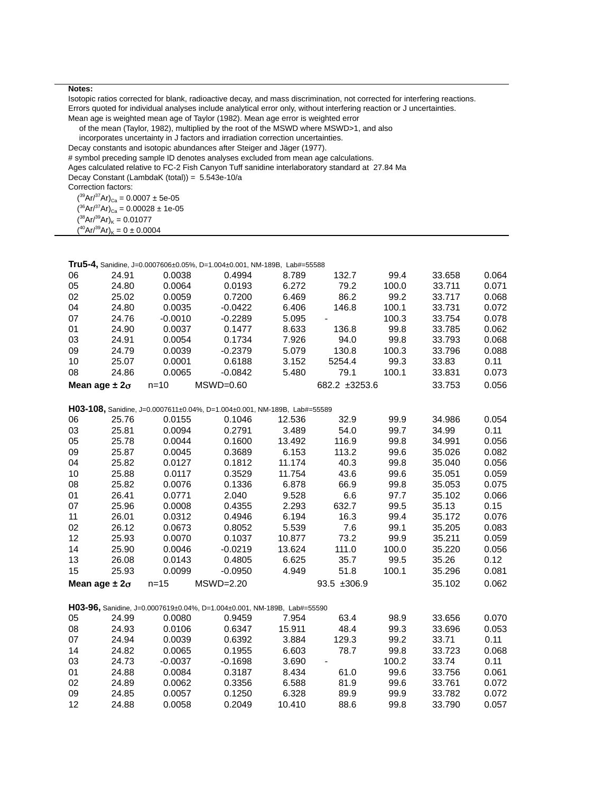Isotopic ratios corrected for blank, radioactive decay, and mass discrimination, not corrected for interfering reactions. Errors quoted for individual analyses include analytical error only, without interfering reaction or J uncertainties. Mean age is weighted mean age of Taylor (1982). Mean age error is weighted error

of the mean (Taylor, 1982), multiplied by the root of the MSWD where MSWD>1, and also

incorporates uncertainty in J factors and irradiation correction uncertainties.

Decay constants and isotopic abundances after Steiger and Jäger (1977).

# symbol preceding sample ID denotes analyses excluded from mean age calculations.

Ages calculated relative to FC-2 Fish Canyon Tuff sanidine interlaboratory standard at 27.84 Ma

Decay Constant (LambdaK (total)) = 5.543e-10/a

Correction factors:

 $({}^{39}Ar/{}^{37}Ar)_{Ca} = 0.0007 \pm 5e-05$ 

- $(36Ar^{37}Ar)_{Ca} = 0.00028 \pm 1e^{-0.05}$
- $({}^{38}Ar/{}^{39}Ar)_K = 0.01077$

 $(^{40}Ar/^{39}Ar)_K = 0 \pm 0.0004$ 

|    |                        |           | Tru5-4, Sanidine, J=0.0007606±0.05%, D=1.004±0.001, NM-189B, Lab#=55588  |        |               |       |        |       |
|----|------------------------|-----------|--------------------------------------------------------------------------|--------|---------------|-------|--------|-------|
| 06 | 24.91                  | 0.0038    | 0.4994                                                                   | 8.789  | 132.7         | 99.4  | 33.658 | 0.064 |
| 05 | 24.80                  | 0.0064    | 0.0193                                                                   | 6.272  | 79.2          | 100.0 | 33.711 | 0.071 |
| 02 | 25.02                  | 0.0059    | 0.7200                                                                   | 6.469  | 86.2          | 99.2  | 33.717 | 0.068 |
| 04 | 24.80                  | 0.0035    | $-0.0422$                                                                | 6.406  | 146.8         | 100.1 | 33.731 | 0.072 |
| 07 | 24.76                  | $-0.0010$ | $-0.2289$                                                                | 5.095  |               | 100.3 | 33.754 | 0.078 |
| 01 | 24.90                  | 0.0037    | 0.1477                                                                   | 8.633  | 136.8         | 99.8  | 33.785 | 0.062 |
| 03 | 24.91                  | 0.0054    | 0.1734                                                                   | 7.926  | 94.0          | 99.8  | 33.793 | 0.068 |
| 09 | 24.79                  | 0.0039    | $-0.2379$                                                                | 5.079  | 130.8         | 100.3 | 33.796 | 0.088 |
| 10 | 25.07                  | 0.0001    | 0.6188                                                                   | 3.152  | 5254.4        | 99.3  | 33.83  | 0.11  |
| 08 | 24.86                  | 0.0065    | $-0.0842$                                                                | 5.480  | 79.1          | 100.1 | 33.831 | 0.073 |
|    | Mean age $\pm 2\sigma$ | $n = 10$  | $MSWD=0.60$                                                              |        | 682.2 ±3253.6 |       | 33.753 | 0.056 |
|    |                        |           |                                                                          |        |               |       |        |       |
|    |                        |           | H03-108, Sanidine, J=0.0007611±0.04%, D=1.004±0.001, NM-189B, Lab#=55589 |        |               |       |        |       |
| 06 | 25.76                  | 0.0155    | 0.1046                                                                   | 12.536 | 32.9          | 99.9  | 34.986 | 0.054 |
| 03 | 25.81                  | 0.0094    | 0.2791                                                                   | 3.489  | 54.0          | 99.7  | 34.99  | 0.11  |
| 05 | 25.78                  | 0.0044    | 0.1600                                                                   | 13.492 | 116.9         | 99.8  | 34.991 | 0.056 |
| 09 | 25.87                  | 0.0045    | 0.3689                                                                   | 6.153  | 113.2         | 99.6  | 35.026 | 0.082 |
| 04 | 25.82                  | 0.0127    | 0.1812                                                                   | 11.174 | 40.3          | 99.8  | 35.040 | 0.056 |
| 10 | 25.88                  | 0.0117    | 0.3529                                                                   | 11.754 | 43.6          | 99.6  | 35.051 | 0.059 |
| 08 | 25.82                  | 0.0076    | 0.1336                                                                   | 6.878  | 66.9          | 99.8  | 35.053 | 0.075 |
| 01 | 26.41                  | 0.0771    | 2.040                                                                    | 9.528  | 6.6           | 97.7  | 35.102 | 0.066 |
| 07 | 25.96                  | 0.0008    | 0.4355                                                                   | 2.293  | 632.7         | 99.5  | 35.13  | 0.15  |
| 11 | 26.01                  | 0.0312    | 0.4946                                                                   | 6.194  | 16.3          | 99.4  | 35.172 | 0.076 |
| 02 | 26.12                  | 0.0673    | 0.8052                                                                   | 5.539  | 7.6           | 99.1  | 35.205 | 0.083 |
| 12 | 25.93                  | 0.0070    | 0.1037                                                                   | 10.877 | 73.2          | 99.9  | 35.211 | 0.059 |
| 14 | 25.90                  | 0.0046    | $-0.0219$                                                                | 13.624 | 111.0         | 100.0 | 35.220 | 0.056 |
| 13 | 26.08                  | 0.0143    | 0.4805                                                                   | 6.625  | 35.7          | 99.5  | 35.26  | 0.12  |
| 15 | 25.93                  | 0.0099    | $-0.0950$                                                                | 4.949  | 51.8          | 100.1 | 35.296 | 0.081 |
|    | Mean age $\pm 2\sigma$ | $n = 15$  | $MSWD=2.20$                                                              |        | 93.5 ±306.9   |       | 35.102 | 0.062 |
|    |                        |           |                                                                          |        |               |       |        |       |
|    |                        |           | H03-96, Sanidine, J=0.0007619±0.04%, D=1.004±0.001, NM-189B, Lab#=55590  |        |               |       |        |       |
| 05 | 24.99                  | 0.0080    | 0.9459                                                                   | 7.954  | 63.4          | 98.9  | 33.656 | 0.070 |
| 08 | 24.93                  | 0.0106    | 0.6347                                                                   | 15.911 | 48.4          | 99.3  | 33.696 | 0.053 |
| 07 | 24.94                  | 0.0039    | 0.6392                                                                   | 3.884  | 129.3         | 99.2  | 33.71  | 0.11  |
| 14 | 24.82                  | 0.0065    | 0.1955                                                                   | 6.603  | 78.7          | 99.8  | 33.723 | 0.068 |
| 03 | 24.73                  | $-0.0037$ | -0.1698                                                                  | 3.690  |               | 100.2 | 33.74  | 0.11  |
| 01 | 24.88                  | 0.0084    | 0.3187                                                                   | 8.434  | 61.0          | 99.6  | 33.756 | 0.061 |
| 02 | 24.89                  | 0.0062    | 0.3356                                                                   | 6.588  | 81.9          | 99.6  | 33.761 | 0.072 |
| 09 | 24.85                  | 0.0057    | 0.1250                                                                   | 6.328  | 89.9          | 99.9  | 33.782 | 0.072 |
| 12 | 24.88                  | 0.0058    | 0.2049                                                                   | 10.410 | 88.6          | 99.8  | 33.790 | 0.057 |
|    |                        |           |                                                                          |        |               |       |        |       |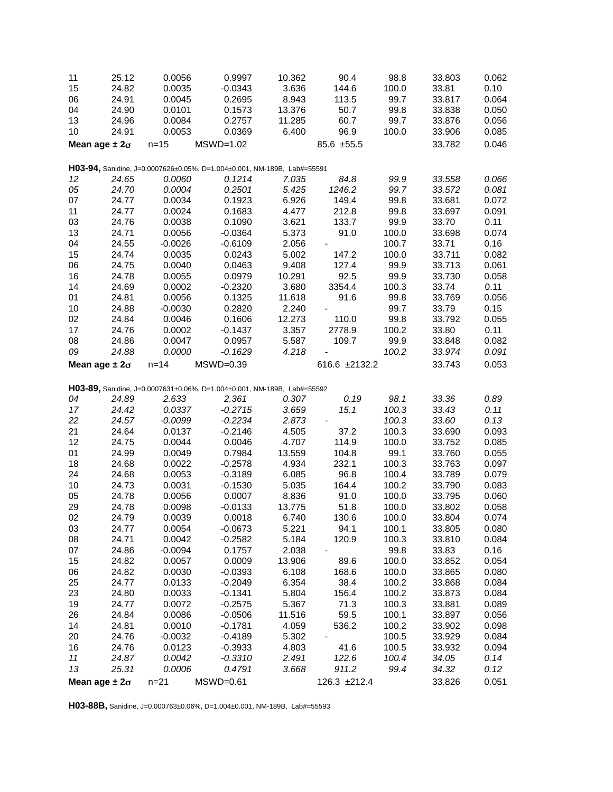| 11 | 25.12                  | 0.0056    | 0.9997                                                                  | 10.362 | 90.4          | 98.8  | 33.803 | 0.062 |
|----|------------------------|-----------|-------------------------------------------------------------------------|--------|---------------|-------|--------|-------|
| 15 | 24.82                  | 0.0035    | $-0.0343$                                                               | 3.636  | 144.6         | 100.0 | 33.81  | 0.10  |
| 06 | 24.91                  | 0.0045    | 0.2695                                                                  | 8.943  | 113.5         | 99.7  | 33.817 | 0.064 |
| 04 | 24.90                  | 0.0101    | 0.1573                                                                  | 13.376 | 50.7          | 99.8  | 33.838 | 0.050 |
| 13 | 24.96                  | 0.0084    | 0.2757                                                                  | 11.285 | 60.7          | 99.7  | 33.876 | 0.056 |
| 10 | 24.91                  | 0.0053    | 0.0369                                                                  | 6.400  | 96.9          | 100.0 | 33.906 | 0.085 |
|    | Mean age $\pm 2\sigma$ | $n = 15$  | $MSWD=1.02$                                                             |        | 85.6 ±55.5    |       | 33.782 | 0.046 |
|    |                        |           |                                                                         |        |               |       |        |       |
|    |                        | 0.0060    | H03-94, Sanidine, J=0.0007626±0.05%, D=1.004±0.001, NM-189B, Lab#=55591 |        |               |       |        |       |
| 12 | 24.65                  |           | 0.1214                                                                  | 7.035  | 84.8          | 99.9  | 33.558 | 0.066 |
| 05 | 24.70                  | 0.0004    | 0.2501                                                                  | 5.425  | 1246.2        | 99.7  | 33.572 | 0.081 |
| 07 | 24.77                  | 0.0034    | 0.1923                                                                  | 6.926  | 149.4         | 99.8  | 33.681 | 0.072 |
| 11 | 24.77                  | 0.0024    | 0.1683                                                                  | 4.477  | 212.8         | 99.8  | 33.697 | 0.091 |
| 03 | 24.76                  | 0.0038    | 0.1090                                                                  | 3.621  | 133.7         | 99.9  | 33.70  | 0.11  |
| 13 | 24.71                  | 0.0056    | $-0.0364$                                                               | 5.373  | 91.0          | 100.0 | 33.698 | 0.074 |
| 04 | 24.55                  | $-0.0026$ | $-0.6109$                                                               | 2.056  |               | 100.7 | 33.71  | 0.16  |
| 15 | 24.74                  | 0.0035    | 0.0243                                                                  | 5.002  | 147.2         | 100.0 | 33.711 | 0.082 |
| 06 | 24.75                  | 0.0040    | 0.0463                                                                  | 9.408  | 127.4         | 99.9  | 33.713 | 0.061 |
| 16 | 24.78                  | 0.0055    | 0.0979                                                                  | 10.291 | 92.5          | 99.9  | 33.730 | 0.058 |
| 14 | 24.69                  | 0.0002    | $-0.2320$                                                               | 3.680  | 3354.4        | 100.3 | 33.74  | 0.11  |
| 01 | 24.81                  | 0.0056    | 0.1325                                                                  | 11.618 | 91.6          | 99.8  | 33.769 | 0.056 |
| 10 | 24.88                  | $-0.0030$ | 0.2820                                                                  | 2.240  |               | 99.7  | 33.79  | 0.15  |
| 02 | 24.84                  | 0.0046    | 0.1606                                                                  | 12.273 | 110.0         | 99.8  | 33.792 | 0.055 |
| 17 | 24.76                  | 0.0002    | $-0.1437$                                                               | 3.357  | 2778.9        | 100.2 | 33.80  | 0.11  |
| 08 | 24.86                  | 0.0047    | 0.0957                                                                  | 5.587  | 109.7         | 99.9  | 33.848 | 0.082 |
| 09 | 24.88                  | 0.0000    | $-0.1629$                                                               | 4.218  |               | 100.2 | 33.974 | 0.091 |
|    | Mean age $\pm 2\sigma$ | $n = 14$  | $MSWD=0.39$                                                             |        | 616.6 ±2132.2 |       | 33.743 | 0.053 |
|    |                        |           | H03-89, Sanidine, J=0.0007631±0.06%, D=1.004±0.001, NM-189B, Lab#=55592 |        |               |       |        |       |
| 04 | 24.89                  | 2.633     | 2.361                                                                   | 0.307  | 0.19          | 98.1  | 33.36  | 0.89  |
| 17 | 24.42                  | 0.0337    | $-0.2715$                                                               | 3.659  | 15.1          | 100.3 | 33.43  | 0.11  |
| 22 | 24.57                  | $-0.0099$ | $-0.2234$                                                               | 2.873  |               | 100.3 | 33.60  | 0.13  |
| 21 | 24.64                  | 0.0137    | $-0.2146$                                                               | 4.505  | 37.2          | 100.3 | 33.690 | 0.093 |
| 12 | 24.75                  | 0.0044    | 0.0046                                                                  | 4.707  | 114.9         | 100.0 | 33.752 | 0.085 |
| 01 | 24.99                  | 0.0049    | 0.7984                                                                  | 13.559 | 104.8         | 99.1  | 33.760 | 0.055 |
| 18 | 24.68                  | 0.0022    | $-0.2578$                                                               | 4.934  | 232.1         | 100.3 | 33.763 | 0.097 |
| 24 | 24.68                  | 0.0053    | $-0.3189$                                                               | 6.085  | 96.8          | 100.4 | 33.789 | 0.079 |
| 10 | 24.73                  | 0.0031    | $-0.1530$                                                               | 5.035  | 164.4         | 100.2 | 33.790 | 0.083 |
| 05 | 24.78                  | 0.0056    | 0.0007                                                                  | 8.836  | 91.0          | 100.0 | 33.795 | 0.060 |
| 29 | 24.78                  | 0.0098    | $-0.0133$                                                               | 13.775 | 51.8          | 100.0 | 33.802 | 0.058 |
| 02 | 24.79                  | 0.0039    | 0.0018                                                                  | 6.740  | 130.6         | 100.0 | 33.804 | 0.074 |
| 03 | 24.77                  | 0.0054    | $-0.0673$                                                               | 5.221  | 94.1          | 100.1 | 33.805 | 0.080 |
| 08 | 24.71                  | 0.0042    | $-0.2582$                                                               | 5.184  | 120.9         | 100.3 | 33.810 | 0.084 |
| 07 | 24.86                  | $-0.0094$ | 0.1757                                                                  | 2.038  |               | 99.8  | 33.83  | 0.16  |
| 15 | 24.82                  | 0.0057    | 0.0009                                                                  | 13.906 | 89.6          | 100.0 | 33.852 | 0.054 |
| 06 | 24.82                  | 0.0030    | $-0.0393$                                                               | 6.108  | 168.6         | 100.0 | 33.865 | 0.080 |
| 25 | 24.77                  | 0.0133    | $-0.2049$                                                               | 6.354  | 38.4          | 100.2 | 33.868 | 0.084 |
| 23 | 24.80                  | 0.0033    | $-0.1341$                                                               | 5.804  | 156.4         | 100.2 | 33.873 | 0.084 |
| 19 | 24.77                  | 0.0072    | $-0.2575$                                                               | 5.367  | 71.3          | 100.3 | 33.881 | 0.089 |
| 26 | 24.84                  | 0.0086    | $-0.0506$                                                               | 11.516 | 59.5          | 100.1 | 33.897 | 0.056 |
| 14 | 24.81                  | 0.0010    | $-0.1781$                                                               | 4.059  | 536.2         | 100.2 | 33.902 | 0.098 |
| 20 | 24.76                  | $-0.0032$ | $-0.4189$                                                               | 5.302  |               | 100.5 | 33.929 | 0.084 |
| 16 | 24.76                  | 0.0123    | $-0.3933$                                                               | 4.803  | 41.6          | 100.5 | 33.932 | 0.094 |
| 11 | 24.87                  | 0.0042    | $-0.3310$                                                               | 2.491  | 122.6         | 100.4 | 34.05  | 0.14  |
| 13 | 25.31                  | 0.0006    | 0.4791                                                                  | 3.668  | 911.2         | 99.4  | 34.32  | 0.12  |
|    | Mean age $\pm 2\sigma$ | $n = 21$  | $MSWD=0.61$                                                             |        | 126.3 ±212.4  |       | 33.826 | 0.051 |
|    |                        |           |                                                                         |        |               |       |        |       |

**H03-88B,** Sanidine, J=0.000763±0.06%, D=1.004±0.001, NM-189B, Lab#=55593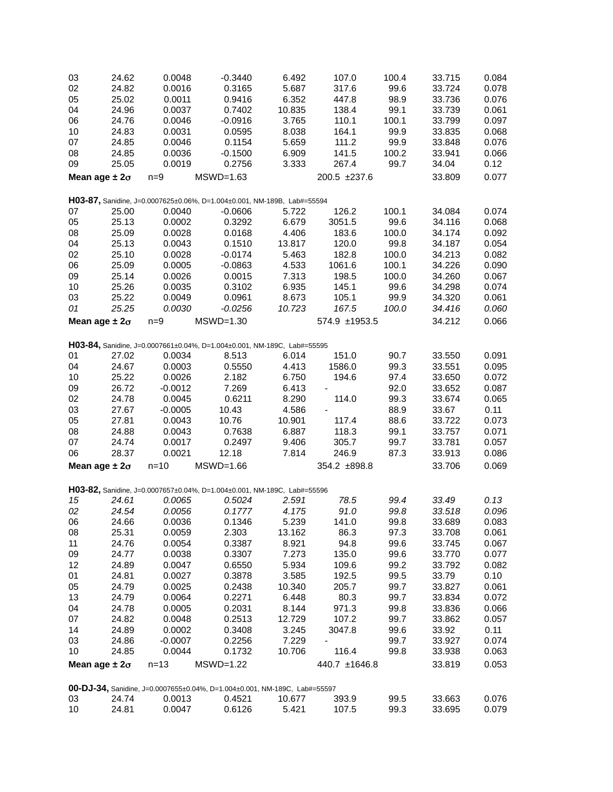| 03                     | 24.62 | 0.0048    | $-0.3440$                                                                 | 6.492  | 107.0         | 100.4 | 33.715 | 0.084 |
|------------------------|-------|-----------|---------------------------------------------------------------------------|--------|---------------|-------|--------|-------|
| 02                     | 24.82 | 0.0016    | 0.3165                                                                    | 5.687  | 317.6         | 99.6  | 33.724 | 0.078 |
| 05                     | 25.02 | 0.0011    | 0.9416                                                                    | 6.352  | 447.8         | 98.9  | 33.736 | 0.076 |
| 04                     | 24.96 | 0.0037    | 0.7402                                                                    | 10.835 | 138.4         | 99.1  | 33.739 | 0.061 |
| 06                     | 24.76 | 0.0046    | $-0.0916$                                                                 | 3.765  | 110.1         | 100.1 | 33.799 | 0.097 |
| 10                     | 24.83 | 0.0031    | 0.0595                                                                    | 8.038  | 164.1         | 99.9  | 33.835 | 0.068 |
| 07                     | 24.85 | 0.0046    | 0.1154                                                                    | 5.659  | 111.2         | 99.9  | 33.848 | 0.076 |
| 08                     |       |           |                                                                           | 6.909  |               | 100.2 |        |       |
|                        | 24.85 | 0.0036    | $-0.1500$                                                                 |        | 141.5         |       | 33.941 | 0.066 |
| 09                     | 25.05 | 0.0019    | 0.2756                                                                    | 3.333  | 267.4         | 99.7  | 34.04  | 0.12  |
| Mean age $\pm 2\sigma$ |       | $n=9$     | $MSWD=1.63$                                                               |        | 200.5 ±237.6  |       | 33.809 | 0.077 |
|                        |       |           | H03-87, Sanidine, J=0.0007625±0.06%, D=1.004±0.001, NM-189B, Lab#=55594   |        |               |       |        |       |
| 07                     | 25.00 | 0.0040    | $-0.0606$                                                                 | 5.722  | 126.2         | 100.1 | 34.084 | 0.074 |
| 05                     | 25.13 | 0.0002    | 0.3292                                                                    | 6.679  | 3051.5        | 99.6  | 34.116 | 0.068 |
| 08                     | 25.09 | 0.0028    |                                                                           | 4.406  | 183.6         | 100.0 |        | 0.092 |
|                        |       |           | 0.0168                                                                    |        |               |       | 34.174 |       |
| 04                     | 25.13 | 0.0043    | 0.1510                                                                    | 13.817 | 120.0         | 99.8  | 34.187 | 0.054 |
| 02                     | 25.10 | 0.0028    | $-0.0174$                                                                 | 5.463  | 182.8         | 100.0 | 34.213 | 0.082 |
| 06                     | 25.09 | 0.0005    | $-0.0863$                                                                 | 4.533  | 1061.6        | 100.1 | 34.226 | 0.090 |
| 09                     | 25.14 | 0.0026    | 0.0015                                                                    | 7.313  | 198.5         | 100.0 | 34.260 | 0.067 |
| 10                     | 25.26 | 0.0035    | 0.3102                                                                    | 6.935  | 145.1         | 99.6  | 34.298 | 0.074 |
| 03                     | 25.22 | 0.0049    | 0.0961                                                                    | 8.673  | 105.1         | 99.9  | 34.320 | 0.061 |
| 01                     | 25.25 | 0.0030    | $-0.0256$                                                                 | 10.723 | 167.5         | 100.0 | 34.416 | 0.060 |
| Mean age $\pm 2\sigma$ |       | $n=9$     | $MSWD=1.30$                                                               |        | 574.9 ±1953.5 |       | 34.212 | 0.066 |
|                        |       |           |                                                                           |        |               |       |        |       |
|                        |       |           | H03-84, Sanidine, J=0.0007661±0.04%, D=1.004±0.001, NM-189C, Lab#=55595   |        |               |       |        |       |
| 01                     | 27.02 | 0.0034    | 8.513                                                                     | 6.014  | 151.0         | 90.7  | 33.550 | 0.091 |
| 04                     | 24.67 | 0.0003    | 0.5550                                                                    | 4.413  | 1586.0        | 99.3  | 33.551 | 0.095 |
| 10                     | 25.22 | 0.0026    | 2.182                                                                     | 6.750  | 194.6         | 97.4  | 33.650 | 0.072 |
| 09                     | 26.72 | $-0.0012$ | 7.269                                                                     | 6.413  |               | 92.0  | 33.652 | 0.087 |
| 02                     | 24.78 | 0.0045    | 0.6211                                                                    | 8.290  | 114.0         | 99.3  | 33.674 | 0.065 |
| 03                     | 27.67 | $-0.0005$ | 10.43                                                                     | 4.586  |               | 88.9  | 33.67  | 0.11  |
| 05                     | 27.81 | 0.0043    | 10.76                                                                     | 10.901 | 117.4         | 88.6  | 33.722 | 0.073 |
| 08                     | 24.88 | 0.0043    | 0.7638                                                                    | 6.887  | 118.3         | 99.1  | 33.757 | 0.071 |
| 07                     | 24.74 | 0.0017    | 0.2497                                                                    | 9.406  | 305.7         | 99.7  | 33.781 | 0.057 |
| 06                     | 28.37 | 0.0021    | 12.18                                                                     | 7.814  | 246.9         | 87.3  | 33.913 | 0.086 |
| Mean age $\pm 2\sigma$ |       | $n = 10$  | $MSWD=1.66$                                                               |        | 354.2 ±898.8  |       | 33.706 | 0.069 |
|                        |       |           |                                                                           |        |               |       |        |       |
|                        |       |           | H03-82, Sanidine, J=0.0007657±0.04%, D=1.004±0.001, NM-189C, Lab#=55596   |        |               |       |        |       |
| 15                     | 24.61 | 0.0065    | 0.5024                                                                    | 2.591  | 78.5          | 99.4  | 33.49  | 0.13  |
| 02                     | 24.54 | 0.0056    | 0.1777                                                                    | 4.175  | 91.0          | 99.8  | 33.518 | 0.096 |
| 06                     | 24.66 | 0.0036    | 0.1346                                                                    | 5.239  | 141.0         | 99.8  | 33.689 | 0.083 |
| 08                     | 25.31 | 0.0059    | 2.303                                                                     | 13.162 | 86.3          | 97.3  | 33.708 | 0.061 |
| 11                     | 24.76 | 0.0054    | 0.3387                                                                    | 8.921  | 94.8          | 99.6  | 33.745 | 0.067 |
| 09                     | 24.77 | 0.0038    | 0.3307                                                                    | 7.273  | 135.0         | 99.6  | 33.770 | 0.077 |
| 12                     | 24.89 | 0.0047    | 0.6550                                                                    | 5.934  | 109.6         | 99.2  | 33.792 | 0.082 |
| 01                     | 24.81 | 0.0027    | 0.3878                                                                    | 3.585  | 192.5         | 99.5  | 33.79  | 0.10  |
| 05                     | 24.79 | 0.0025    | 0.2438                                                                    | 10.340 | 205.7         | 99.7  | 33.827 | 0.061 |
| 13                     | 24.79 | 0.0064    | 0.2271                                                                    | 6.448  | 80.3          | 99.7  | 33.834 | 0.072 |
| 04                     | 24.78 | 0.0005    | 0.2031                                                                    | 8.144  | 971.3         | 99.8  | 33.836 | 0.066 |
| 07                     | 24.82 | 0.0048    | 0.2513                                                                    | 12.729 | 107.2         | 99.7  | 33.862 | 0.057 |
| 14                     | 24.89 | 0.0002    | 0.3408                                                                    | 3.245  | 3047.8        | 99.6  | 33.92  | 0.11  |
| 03                     | 24.86 | $-0.0007$ | 0.2256                                                                    | 7.229  |               | 99.7  | 33.927 | 0.074 |
| 10                     | 24.85 | 0.0044    | 0.1732                                                                    | 10.706 | 116.4         | 99.8  | 33.938 | 0.063 |
| Mean age $\pm 2\sigma$ |       | $n = 13$  | $MSWD=1.22$                                                               |        | 440.7 ±1646.8 |       | 33.819 | 0.053 |
|                        |       |           |                                                                           |        |               |       |        |       |
|                        |       |           | 00-DJ-34, Sanidine, J=0.0007655±0.04%, D=1.004±0.001, NM-189C, Lab#=55597 |        |               |       |        |       |
| 03                     | 24.74 | 0.0013    | 0.4521                                                                    | 10.677 | 393.9         | 99.5  | 33.663 | 0.076 |
| 10                     | 24.81 | 0.0047    | 0.6126                                                                    | 5.421  | 107.5         | 99.3  | 33.695 | 0.079 |
|                        |       |           |                                                                           |        |               |       |        |       |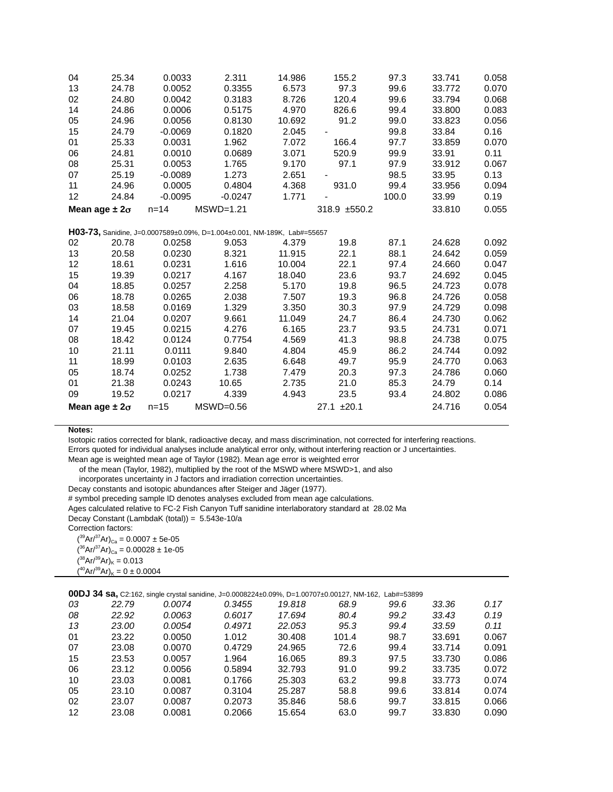| 04                     | 25.34 | 0.0033    | 2.311                                                                   | 14.986 | 155.2           | 97.3  | 33.741 | 0.058 |
|------------------------|-------|-----------|-------------------------------------------------------------------------|--------|-----------------|-------|--------|-------|
| 13                     | 24.78 | 0.0052    | 0.3355                                                                  | 6.573  | 97.3            | 99.6  | 33.772 | 0.070 |
| 02                     | 24.80 | 0.0042    | 0.3183                                                                  | 8.726  | 120.4           | 99.6  | 33.794 | 0.068 |
| 14                     | 24.86 | 0.0006    | 0.5175                                                                  | 4.970  | 826.6           | 99.4  | 33.800 | 0.083 |
| 05                     | 24.96 | 0.0056    | 0.8130                                                                  | 10.692 | 91.2            | 99.0  | 33.823 | 0.056 |
| 15                     | 24.79 | $-0.0069$ | 0.1820                                                                  | 2.045  |                 | 99.8  | 33.84  | 0.16  |
| 01                     | 25.33 | 0.0031    | 1.962                                                                   | 7.072  | 166.4           | 97.7  | 33.859 | 0.070 |
| 06                     | 24.81 | 0.0010    | 0.0689                                                                  | 3.071  | 520.9           | 99.9  | 33.91  | 0.11  |
| 08                     | 25.31 | 0.0053    | 1.765                                                                   | 9.170  | 97.1            | 97.9  | 33.912 | 0.067 |
| 07                     | 25.19 | $-0.0089$ | 1.273                                                                   | 2.651  |                 | 98.5  | 33.95  | 0.13  |
| 11                     | 24.96 | 0.0005    | 0.4804                                                                  | 4.368  | 931.0           | 99.4  | 33.956 | 0.094 |
| 12                     | 24.84 | $-0.0095$ | $-0.0247$                                                               | 1.771  |                 | 100.0 | 33.99  | 0.19  |
| Mean age $\pm 2\sigma$ |       | $n = 14$  | $MSWD=1.21$                                                             |        | 318.9 ±550.2    |       | 33.810 | 0.055 |
|                        |       |           |                                                                         |        |                 |       |        |       |
|                        |       |           | H03-73, Sanidine, J=0.0007589±0.09%, D=1.004±0.001, NM-189K, Lab#=55657 |        |                 |       |        |       |
| 02                     | 20.78 | 0.0258    | 9.053                                                                   | 4.379  | 19.8            | 87.1  | 24.628 | 0.092 |
| 13                     | 20.58 | 0.0230    | 8.321                                                                   | 11.915 | 22.1            | 88.1  | 24.642 | 0.059 |
| 12                     | 18.61 | 0.0231    | 1.616                                                                   | 10.004 | 22.1            | 97.4  | 24.660 | 0.047 |
| 15                     | 19.39 | 0.0217    | 4.167                                                                   | 18.040 | 23.6            | 93.7  | 24.692 | 0.045 |
| 04                     | 18.85 | 0.0257    | 2.258                                                                   | 5.170  | 19.8            | 96.5  | 24.723 | 0.078 |
| 06                     | 18.78 | 0.0265    | 2.038                                                                   | 7.507  | 19.3            | 96.8  | 24.726 | 0.058 |
| 03                     | 18.58 | 0.0169    | 1.329                                                                   | 3.350  | 30.3            | 97.9  | 24.729 | 0.098 |
| 14                     | 21.04 | 0.0207    | 9.661                                                                   | 11.049 | 24.7            | 86.4  | 24.730 | 0.062 |
| 07                     | 19.45 | 0.0215    | 4.276                                                                   | 6.165  | 23.7            | 93.5  | 24.731 | 0.071 |
| 08                     | 18.42 | 0.0124    | 0.7754                                                                  | 4.569  | 41.3            | 98.8  | 24.738 | 0.075 |
| 10                     | 21.11 | 0.0111    | 9.840                                                                   | 4.804  | 45.9            | 86.2  | 24.744 | 0.092 |
| 11                     | 18.99 | 0.0103    | 2.635                                                                   | 6.648  | 49.7            | 95.9  | 24.770 | 0.063 |
| 05                     | 18.74 | 0.0252    | 1.738                                                                   | 7.479  | 20.3            | 97.3  | 24.786 | 0.060 |
| 01                     | 21.38 | 0.0243    | 10.65                                                                   | 2.735  | 21.0            | 85.3  | 24.79  | 0.14  |
| 09                     | 19.52 | 0.0217    | 4.339                                                                   | 4.943  | 23.5            | 93.4  | 24.802 | 0.086 |
| Mean age $\pm 2\sigma$ |       | $n=15$    | $MSWD=0.56$                                                             |        | $27.1 \pm 20.1$ |       | 24.716 | 0.054 |

Isotopic ratios corrected for blank, radioactive decay, and mass discrimination, not corrected for interfering reactions.

Errors quoted for individual analyses include analytical error only, without interfering reaction or J uncertainties.

Mean age is weighted mean age of Taylor (1982). Mean age error is weighted error

of the mean (Taylor, 1982), multiplied by the root of the MSWD where MSWD>1, and also

incorporates uncertainty in J factors and irradiation correction uncertainties.

Decay constants and isotopic abundances after Steiger and Jäger (1977).

# symbol preceding sample ID denotes analyses excluded from mean age calculations.

Ages calculated relative to FC-2 Fish Canyon Tuff sanidine interlaboratory standard at 28.02 Ma

Decay Constant (LambdaK (total)) = 5.543e-10/a

Correction factors:

 $({}^{39}Ar/{}^{37}Ar)_{Ca} = 0.0007 \pm 5e-05$  $({}^{36}Ar/{}^{37}Ar)_{Ca} = 0.00028 \pm 1e-05$  $({}^{38}Ar/{}^{39}Ar)_{K} = 0.013$  $(^{40}Ar/^{39}Ar)_K = 0 \pm 0.0004$ 

**00DJ 34 sa,** C2:162, single crystal sanidine, J=0.0008224±0.09%, D=1.00707±0.00127, NM-162, Lab#=53899

| 03 | 22.79 | 0.0074 | 0.3455 | 19.818 | 68.9  | 99.6 | 33.36  | 0.17  |
|----|-------|--------|--------|--------|-------|------|--------|-------|
| 08 | 22.92 | 0.0063 | 0.6017 | 17.694 | 80.4  | 99.2 | 33.43  | 0.19  |
| 13 | 23.00 | 0.0054 | 0.4971 | 22.053 | 95.3  | 99.4 | 33.59  | 0.11  |
| 01 | 23.22 | 0.0050 | 1.012  | 30.408 | 101.4 | 98.7 | 33.691 | 0.067 |
| 07 | 23.08 | 0.0070 | 0.4729 | 24.965 | 72.6  | 99.4 | 33.714 | 0.091 |
| 15 | 23.53 | 0.0057 | 1.964  | 16.065 | 89.3  | 97.5 | 33.730 | 0.086 |
| 06 | 23.12 | 0.0056 | 0.5894 | 32.793 | 91.0  | 99.2 | 33.735 | 0.072 |
| 10 | 23.03 | 0.0081 | 0.1766 | 25.303 | 63.2  | 99.8 | 33.773 | 0.074 |
| 05 | 23.10 | 0.0087 | 0.3104 | 25.287 | 58.8  | 99.6 | 33.814 | 0.074 |
| 02 | 23.07 | 0.0087 | 0.2073 | 35.846 | 58.6  | 99.7 | 33.815 | 0.066 |
| 12 | 23.08 | 0.0081 | 0.2066 | 15.654 | 63.0  | 99.7 | 33.830 | 0.090 |
|    |       |        |        |        |       |      |        |       |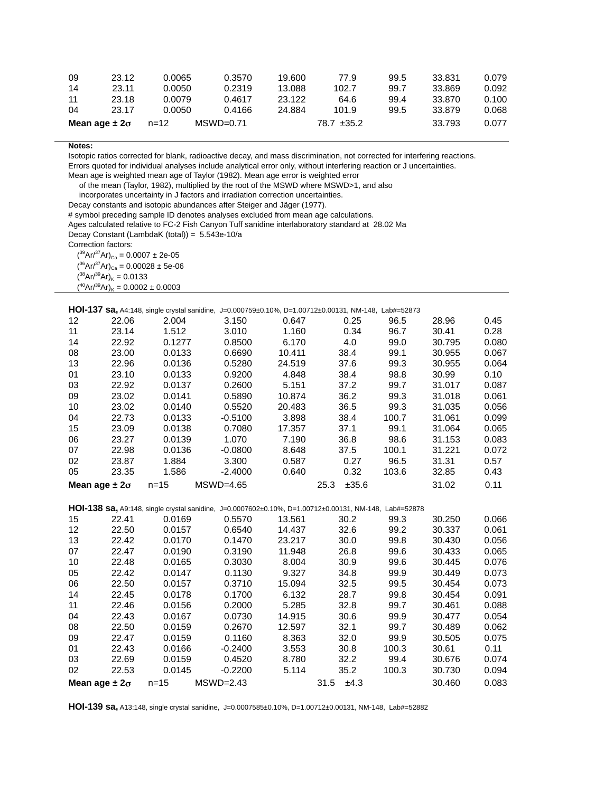| 09                     | 23.12 | 0.0065   | 0.3570      | 19.600 | 77.9            | 99.5 | 33.831 | 0.079 |
|------------------------|-------|----------|-------------|--------|-----------------|------|--------|-------|
| 14                     | 23.11 | 0.0050   | 0.2319      | 13.088 | 102.7           | 99.7 | 33.869 | 0.092 |
| 11                     | 23.18 | 0.0079   | 0.4617      | 23.122 | 64.6            | 99.4 | 33.870 | 0.100 |
| 04                     | 23.17 | 0.0050   | 0.4166      | 24.884 | 101.9           | 99.5 | 33.879 | 0.068 |
| Mean age $\pm 2\sigma$ |       | $n = 12$ | $MSWD=0.71$ |        | $78.7 \pm 35.2$ |      | 33.793 | 0.077 |

Isotopic ratios corrected for blank, radioactive decay, and mass discrimination, not corrected for interfering reactions.

Errors quoted for individual analyses include analytical error only, without interfering reaction or J uncertainties.

Mean age is weighted mean age of Taylor (1982). Mean age error is weighted error

of the mean (Taylor, 1982), multiplied by the root of the MSWD where MSWD>1, and also

incorporates uncertainty in J factors and irradiation correction uncertainties.

Decay constants and isotopic abundances after Steiger and Jäger (1977).

# symbol preceding sample ID denotes analyses excluded from mean age calculations.

Ages calculated relative to FC-2 Fish Canyon Tuff sanidine interlaboratory standard at 28.02 Ma

Decay Constant (LambdaK (total)) = 5.543e-10/a

Correction factors:

 $({}^{39}Ar/{}^{37}Ar)_{Ca} = 0.0007 \pm 2e-05$ 

 $(36Ar)^{37}Ar$ <sub>Ca</sub> = 0.00028 ± 5e-06  $(38Ar)^{39}Ar$ <sub>K</sub> = 0.0133

 $(^{40}Ar/^{39}Ar)_K = 0.0002 \pm 0.0003$ 

**HOI-137 sa,** A4:148, single crystal sanidine, J=0.000759±0.10%, D=1.00712±0.00131, NM-148, Lab#=52873

| 12                     | 22.06 | 2.004  | 3.150       | 0.647  | 0.25          | 96.5  | 28.96  | 0.45  |
|------------------------|-------|--------|-------------|--------|---------------|-------|--------|-------|
| 11                     | 23.14 | 1.512  | 3.010       | 1.160  | 0.34          | 96.7  | 30.41  | 0.28  |
| 14                     | 22.92 | 0.1277 | 0.8500      | 6.170  | 4.0           | 99.0  | 30.795 | 0.080 |
| 08                     | 23.00 | 0.0133 | 0.6690      | 10.411 | 38.4          | 99.1  | 30.955 | 0.067 |
| 13                     | 22.96 | 0.0136 | 0.5280      | 24.519 | 37.6          | 99.3  | 30.955 | 0.064 |
| 01                     | 23.10 | 0.0133 | 0.9200      | 4.848  | 38.4          | 98.8  | 30.99  | 0.10  |
| 03                     | 22.92 | 0.0137 | 0.2600      | 5.151  | 37.2          | 99.7  | 31.017 | 0.087 |
| 09                     | 23.02 | 0.0141 | 0.5890      | 10.874 | 36.2          | 99.3  | 31.018 | 0.061 |
| 10                     | 23.02 | 0.0140 | 0.5520      | 20.483 | 36.5          | 99.3  | 31.035 | 0.056 |
| 04                     | 22.73 | 0.0133 | $-0.5100$   | 3.898  | 38.4          | 100.7 | 31.061 | 0.099 |
| 15                     | 23.09 | 0.0138 | 0.7080      | 17.357 | 37.1          | 99.1  | 31.064 | 0.065 |
| 06                     | 23.27 | 0.0139 | 1.070       | 7.190  | 36.8          | 98.6  | 31.153 | 0.083 |
| 07                     | 22.98 | 0.0136 | $-0.0800$   | 8.648  | 37.5          | 100.1 | 31.221 | 0.072 |
| 02                     | 23.87 | 1.884  | 3.300       | 0.587  | 0.27          | 96.5  | 31.31  | 0.57  |
| 05                     | 23.35 | 1.586  | $-2.4000$   | 0.640  | 0.32          | 103.6 | 32.85  | 0.43  |
| Mean age $\pm 2\sigma$ |       | n=15   | $MSWD=4.65$ |        | ±35.6<br>25.3 |       | 31.02  | 0.11  |

**HOI-138 sa,** A9:148, single crystal sanidine, J=0.0007602±0.10%, D=1.00712±0.00131, NM-148, Lab#=52878

| 15                     | 22.41 | 0.0169   | 0.5570      | 13.561 | 30.2         | 99.3  | 30.250 | 0.066 |
|------------------------|-------|----------|-------------|--------|--------------|-------|--------|-------|
| 12                     | 22.50 | 0.0157   | 0.6540      | 14.437 | 32.6         | 99.2  | 30.337 | 0.061 |
| 13                     | 22.42 | 0.0170   | 0.1470      | 23.217 | 30.0         | 99.8  | 30.430 | 0.056 |
| 07                     | 22.47 | 0.0190   | 0.3190      | 11.948 | 26.8         | 99.6  | 30.433 | 0.065 |
| 10                     | 22.48 | 0.0165   | 0.3030      | 8.004  | 30.9         | 99.6  | 30.445 | 0.076 |
| 05                     | 22.42 | 0.0147   | 0.1130      | 9.327  | 34.8         | 99.9  | 30.449 | 0.073 |
| 06                     | 22.50 | 0.0157   | 0.3710      | 15.094 | 32.5         | 99.5  | 30.454 | 0.073 |
| 14                     | 22.45 | 0.0178   | 0.1700      | 6.132  | 28.7         | 99.8  | 30.454 | 0.091 |
| 11                     | 22.46 | 0.0156   | 0.2000      | 5.285  | 32.8         | 99.7  | 30.461 | 0.088 |
| 04                     | 22.43 | 0.0167   | 0.0730      | 14.915 | 30.6         | 99.9  | 30.477 | 0.054 |
| 08                     | 22.50 | 0.0159   | 0.2670      | 12.597 | 32.1         | 99.7  | 30.489 | 0.062 |
| 09                     | 22.47 | 0.0159   | 0.1160      | 8.363  | 32.0         | 99.9  | 30.505 | 0.075 |
| 01                     | 22.43 | 0.0166   | $-0.2400$   | 3.553  | 30.8         | 100.3 | 30.61  | 0.11  |
| 03                     | 22.69 | 0.0159   | 0.4520      | 8.780  | 32.2         | 99.4  | 30.676 | 0.074 |
| 02                     | 22.53 | 0.0145   | $-0.2200$   | 5.114  | 35.2         | 100.3 | 30.730 | 0.094 |
| Mean age $\pm 2\sigma$ |       | $n = 15$ | $MSWD=2.43$ |        | ±4.3<br>31.5 |       | 30.460 | 0.083 |

**HOI-139 sa,** A13:148, single crystal sanidine, J=0.0007585±0.10%, D=1.00712±0.00131, NM-148, Lab#=52882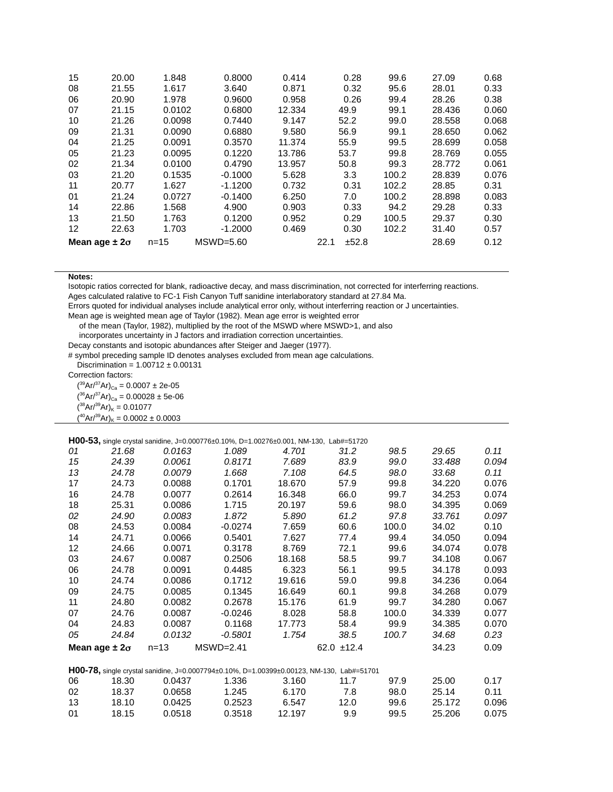| 15                     | 20.00 | 1.848    | 0.8000      | 0.414  |      | 0.28  | 99.6  | 27.09  | 0.68  |
|------------------------|-------|----------|-------------|--------|------|-------|-------|--------|-------|
| 08                     | 21.55 | 1.617    | 3.640       | 0.871  |      | 0.32  | 95.6  | 28.01  | 0.33  |
| 06                     | 20.90 | 1.978    | 0.9600      | 0.958  |      | 0.26  | 99.4  | 28.26  | 0.38  |
| 07                     | 21.15 | 0.0102   | 0.6800      | 12.334 |      | 49.9  | 99.1  | 28.436 | 0.060 |
| 10                     | 21.26 | 0.0098   | 0.7440      | 9.147  |      | 52.2  | 99.0  | 28.558 | 0.068 |
| 09                     | 21.31 | 0.0090   | 0.6880      | 9.580  |      | 56.9  | 99.1  | 28.650 | 0.062 |
| 04                     | 21.25 | 0.0091   | 0.3570      | 11.374 |      | 55.9  | 99.5  | 28.699 | 0.058 |
| 05                     | 21.23 | 0.0095   | 0.1220      | 13.786 |      | 53.7  | 99.8  | 28.769 | 0.055 |
| 02                     | 21.34 | 0.0100   | 0.4790      | 13.957 |      | 50.8  | 99.3  | 28.772 | 0.061 |
| 03                     | 21.20 | 0.1535   | $-0.1000$   | 5.628  |      | 3.3   | 100.2 | 28.839 | 0.076 |
| 11                     | 20.77 | 1.627    | $-1.1200$   | 0.732  |      | 0.31  | 102.2 | 28.85  | 0.31  |
| 01                     | 21.24 | 0.0727   | $-0.1400$   | 6.250  |      | 7.0   | 100.2 | 28.898 | 0.083 |
| 14                     | 22.86 | 1.568    | 4.900       | 0.903  |      | 0.33  | 94.2  | 29.28  | 0.33  |
| 13                     | 21.50 | 1.763    | 0.1200      | 0.952  |      | 0.29  | 100.5 | 29.37  | 0.30  |
| 12                     | 22.63 | 1.703    | $-1.2000$   | 0.469  |      | 0.30  | 102.2 | 31.40  | 0.57  |
| Mean age $\pm 2\sigma$ |       | $n = 15$ | $MSWD=5.60$ |        | 22.1 | ±52.8 |       | 28.69  | 0.12  |

Isotopic ratios corrected for blank, radioactive decay, and mass discrimination, not corrected for interferring reactions.

Ages calculated ralative to FC-1 Fish Canyon Tuff sanidine interlaboratory standard at 27.84 Ma.

Errors quoted for individual analyses include analytical error only, without interferring reaction or J uncertainties.

Mean age is weighted mean age of Taylor (1982). Mean age error is weighted error

of the mean (Taylor, 1982), multiplied by the root of the MSWD where MSWD>1, and also

incorporates uncertainty in J factors and irradiation correction uncertainties.

Decay constants and isotopic abundances after Steiger and Jaeger (1977).

# symbol preceding sample ID denotes analyses excluded from mean age calculations.

Discrimination =  $1.00712 \pm 0.00131$ 

Correction factors:

 $({}^{39}Ar/{}^{37}Ar)_{\rm Ca} = 0.0007 \pm 2e\text{-}05$  $(36Ar)^{37}Ar)_{Ca} = 0.00028 \pm 5e-06$ 

 $({}^{38}Ar/{}^{39}Ar)_K = 0.01077$ 

 $(^{40}Ar/^{39}Ar)_K = 0.0002 \pm 0.0003$ 

**H00-53,** single crystal sanidine, J=0.000776±0.10%, D=1.00276±0.001, NM-130, Lab#=51720

|                        |       | <b>FTUU-33,</b> Single crystal sanigine, J=0.000776±0.10%, D=1.00276±0.001, NM-130, Lab#=51720 |             |        |                 |       |        |       |
|------------------------|-------|------------------------------------------------------------------------------------------------|-------------|--------|-----------------|-------|--------|-------|
| 01                     | 21.68 | 0.0163                                                                                         | 1.089       | 4.701  | 31.2            | 98.5  | 29.65  | 0.11  |
| 15                     | 24.39 | 0.0061                                                                                         | 0.8171      | 7.689  | 83.9            | 99.0  | 33.488 | 0.094 |
| 13                     | 24.78 | 0.0079                                                                                         | 1.668       | 7.108  | 64.5            | 98.0  | 33.68  | 0.11  |
| 17                     | 24.73 | 0.0088                                                                                         | 0.1701      | 18.670 | 57.9            | 99.8  | 34.220 | 0.076 |
| 16                     | 24.78 | 0.0077                                                                                         | 0.2614      | 16.348 | 66.0            | 99.7  | 34.253 | 0.074 |
| 18                     | 25.31 | 0.0086                                                                                         | 1.715       | 20.197 | 59.6            | 98.0  | 34.395 | 0.069 |
| 02                     | 24.90 | 0.0083                                                                                         | 1.872       | 5.890  | 61.2            | 97.8  | 33.761 | 0.097 |
| 08                     | 24.53 | 0.0084                                                                                         | -0.0274     | 7.659  | 60.6            | 100.0 | 34.02  | 0.10  |
| 14                     | 24.71 | 0.0066                                                                                         | 0.5401      | 7.627  | 77.4            | 99.4  | 34.050 | 0.094 |
| $12 \,$                | 24.66 | 0.0071                                                                                         | 0.3178      | 8.769  | 72.1            | 99.6  | 34.074 | 0.078 |
| 03                     | 24.67 | 0.0087                                                                                         | 0.2506      | 18.168 | 58.5            | 99.7  | 34.108 | 0.067 |
| 06                     | 24.78 | 0.0091                                                                                         | 0.4485      | 6.323  | 56.1            | 99.5  | 34.178 | 0.093 |
| 10                     | 24.74 | 0.0086                                                                                         | 0.1712      | 19.616 | 59.0            | 99.8  | 34.236 | 0.064 |
| 09                     | 24.75 | 0.0085                                                                                         | 0.1345      | 16.649 | 60.1            | 99.8  | 34.268 | 0.079 |
| 11                     | 24.80 | 0.0082                                                                                         | 0.2678      | 15.176 | 61.9            | 99.7  | 34.280 | 0.067 |
| 07                     | 24.76 | 0.0087                                                                                         | $-0.0246$   | 8.028  | 58.8            | 100.0 | 34.339 | 0.077 |
| 04                     | 24.83 | 0.0087                                                                                         | 0.1168      | 17.773 | 58.4            | 99.9  | 34.385 | 0.070 |
| 05                     | 24.84 | 0.0132                                                                                         | $-0.5801$   | 1.754  | 38.5            | 100.7 | 34.68  | 0.23  |
| Mean age $\pm 2\sigma$ |       | $n = 13$                                                                                       | $MSWD=2.41$ |        | $62.0 \pm 12.4$ |       | 34.23  | 0.09  |
|                        |       |                                                                                                |             |        |                 |       |        |       |

### **H00-78,** single crystal sanidine, J=0.0007794±0.10%, D=1.00399±0.00123, NM-130, Lab#=51701

| 06 | 18.30 | 0.0437 | 1.336  | 3.160  | 11 7 | 97.9 | 25.00  | በ 17  |
|----|-------|--------|--------|--------|------|------|--------|-------|
| 02 | 18.37 | 0.0658 | 1.245  | 6.170  | 7.8  | 98.0 | 25.14  | 0.11  |
| 13 | 18.10 | 0.0425 | 0.2523 | 6.547  | 12.0 | 99.6 | 25.172 | 0.096 |
| 01 | 18.15 | 0.0518 | 0.3518 | 12.197 | 9.9  | 99.5 | 25.206 | 0.075 |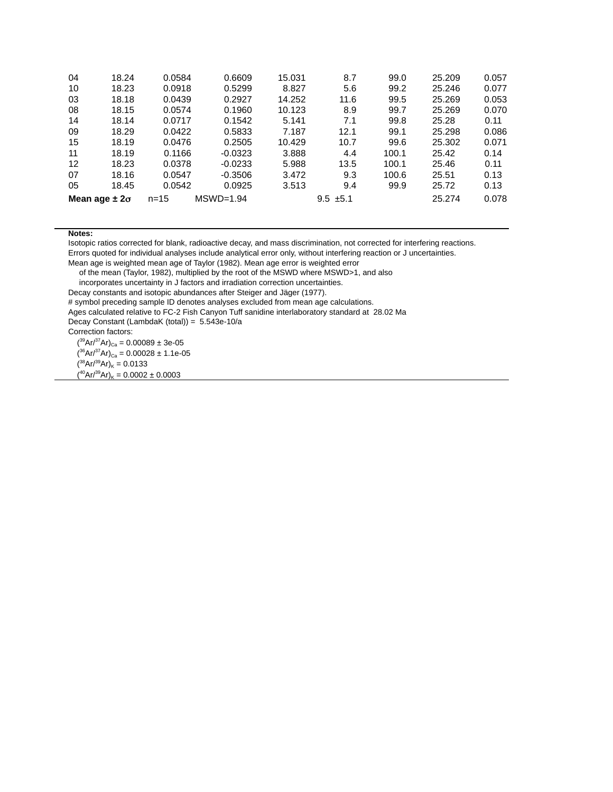| 04                     | 18.24 | 0.0584                  | 0.6609    | 15.031        | 8.7  | 99.0  | 25.209 | 0.057 |
|------------------------|-------|-------------------------|-----------|---------------|------|-------|--------|-------|
| 10                     | 18.23 | 0.0918                  | 0.5299    | 8.827         | 5.6  | 99.2  | 25.246 | 0.077 |
| 03                     | 18.18 | 0.0439                  | 0.2927    | 14.252        | 11.6 | 99.5  | 25.269 | 0.053 |
| 08                     | 18.15 | 0.0574                  | 0.1960    | 10.123        | 8.9  | 99.7  | 25.269 | 0.070 |
| 14                     | 18.14 | 0.0717                  | 0.1542    | 5.141         | 7.1  | 99.8  | 25.28  | 0.11  |
| 09                     | 18.29 | 0.0422                  | 0.5833    | 7.187         | 12.1 | 99.1  | 25.298 | 0.086 |
| 15                     | 18.19 | 0.0476                  | 0.2505    | 10.429        | 10.7 | 99.6  | 25.302 | 0.071 |
| 11                     | 18.19 | 0.1166                  | $-0.0323$ | 3.888         | 4.4  | 100.1 | 25.42  | 0.14  |
| 12                     | 18.23 | 0.0378                  | $-0.0233$ | 5.988         | 13.5 | 100.1 | 25.46  | 0.11  |
| 07                     | 18.16 | 0.0547                  | $-0.3506$ | 3.472         | 9.3  | 100.6 | 25.51  | 0.13  |
| 05                     | 18.45 | 0.0542                  | 0.0925    | 3.513         | 9.4  | 99.9  | 25.72  | 0.13  |
| Mean age $\pm 2\sigma$ |       | $MSWD=1.94$<br>$n = 15$ |           | $9.5 \pm 5.1$ |      |       | 25.274 | 0.078 |

Isotopic ratios corrected for blank, radioactive decay, and mass discrimination, not corrected for interfering reactions.

Errors quoted for individual analyses include analytical error only, without interfering reaction or J uncertainties.

Mean age is weighted mean age of Taylor (1982). Mean age error is weighted error

of the mean (Taylor, 1982), multiplied by the root of the MSWD where MSWD>1, and also

incorporates uncertainty in J factors and irradiation correction uncertainties.

Decay constants and isotopic abundances after Steiger and Jäger (1977).

# symbol preceding sample ID denotes analyses excluded from mean age calculations.

Ages calculated relative to FC-2 Fish Canyon Tuff sanidine interlaboratory standard at 28.02 Ma

Decay Constant (LambdaK (total)) = 5.543e-10/a

Correction factors:

 $({}^{39}Ar/{}^{37}Ar)_{Ca} = 0.00089 \pm 3e-05$  $(36Ar)^{37}Ar)_{Ca} = 0.00028 \pm 1.1e-05$  $(38Ar)^{39}Ar$ <sub>K</sub> = 0.0133  $(40Ar^{39}Ar)_{K} = 0.0002 \pm 0.0003$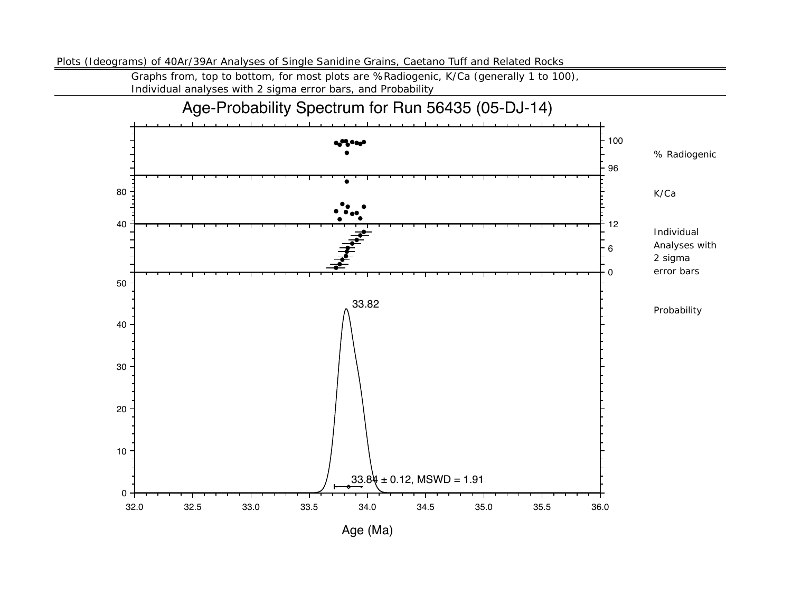Plots (Ideograms) of 40Ar/39Ar Analyses of Single Sanidine Grains, Caetano Tuff and Related Rocks

Graphs from, top to bottom, for most plots are %Radiogenic, K/Ca (generally 1 to 100), Individual analyses with 2 sigma error bars, and Probability

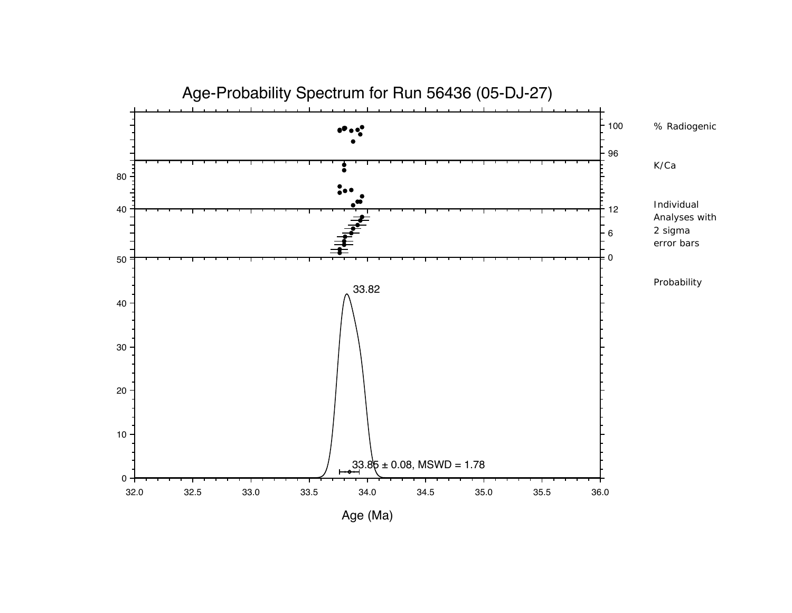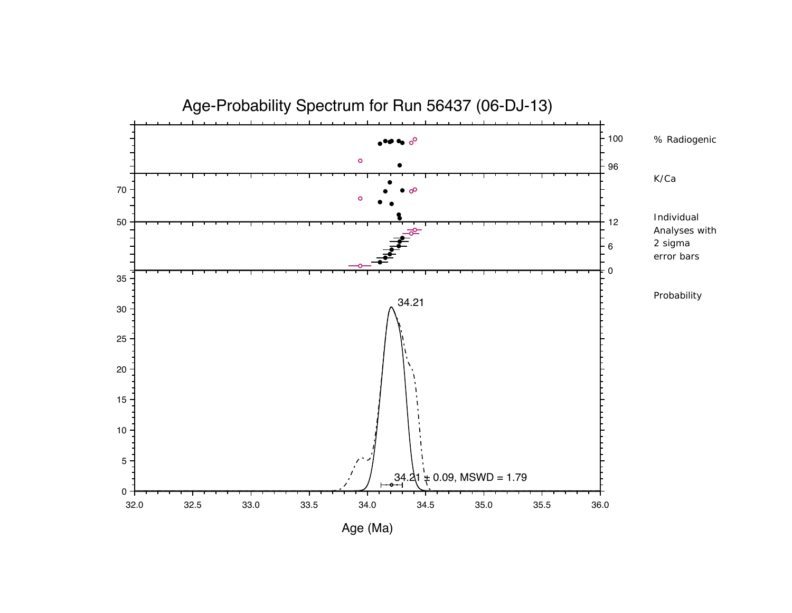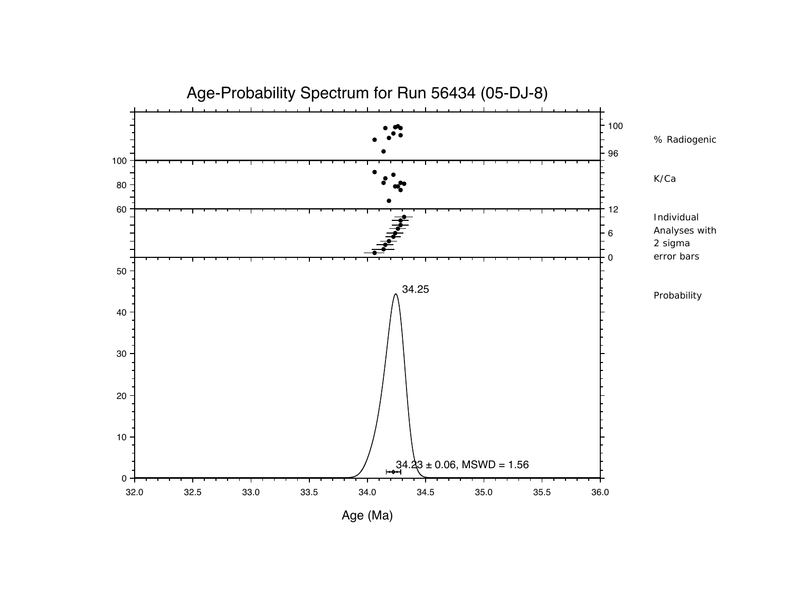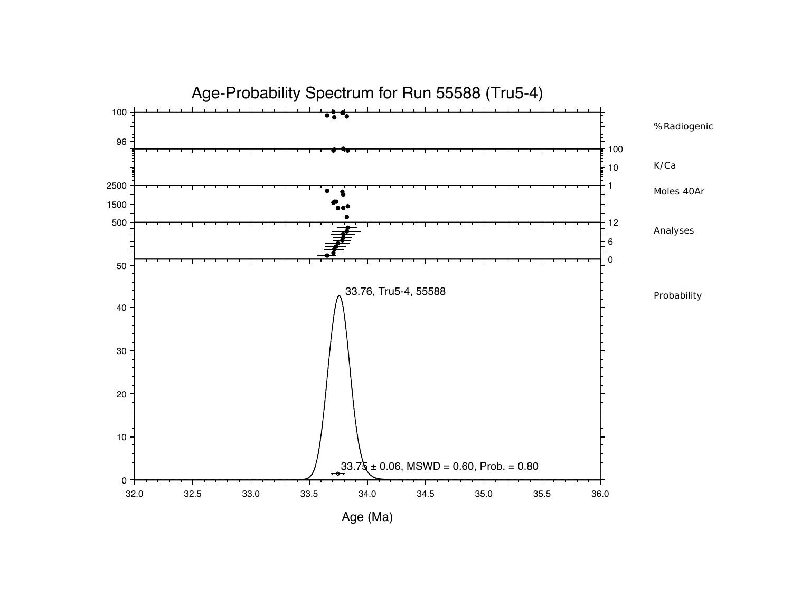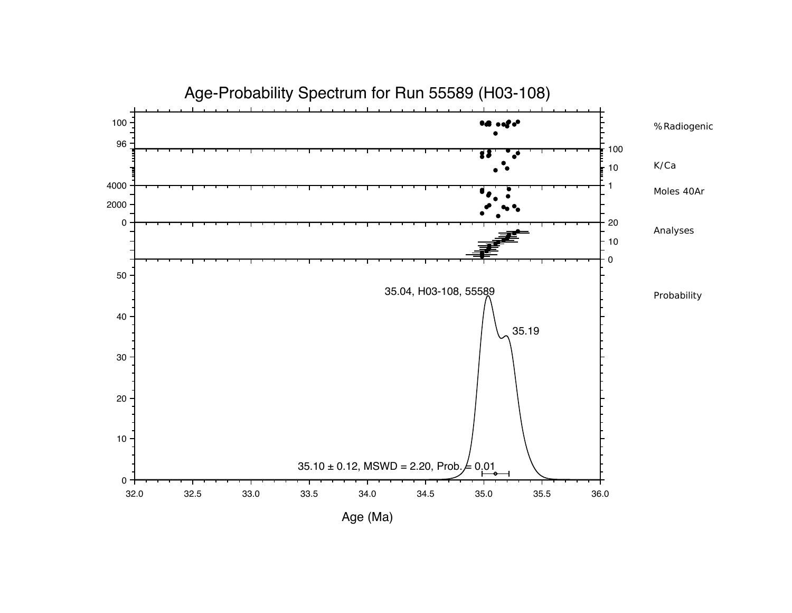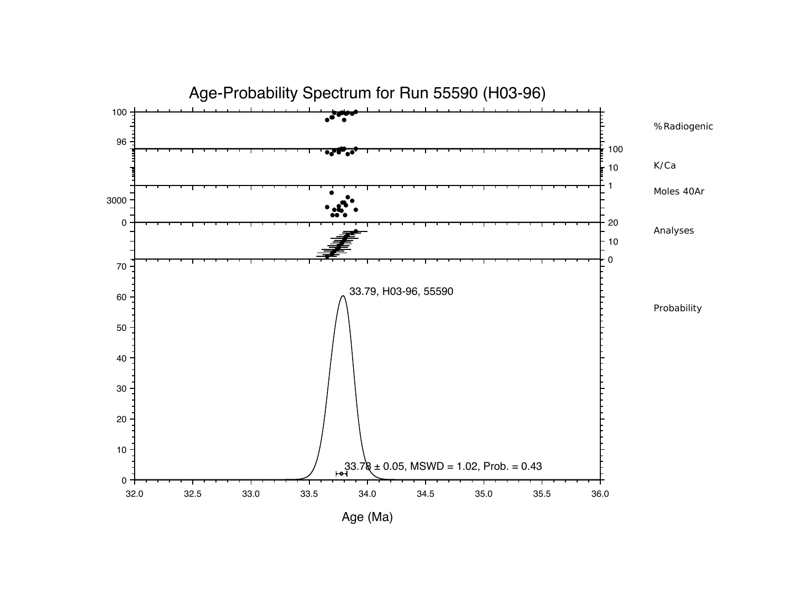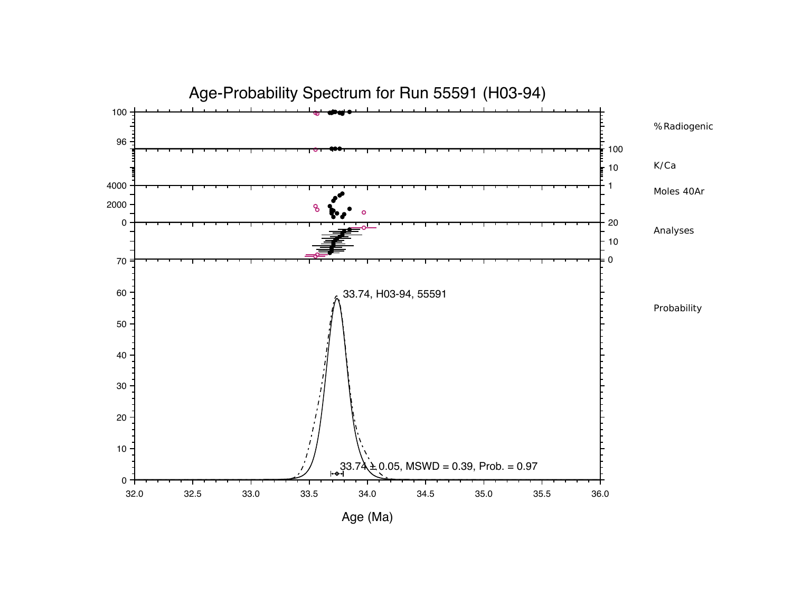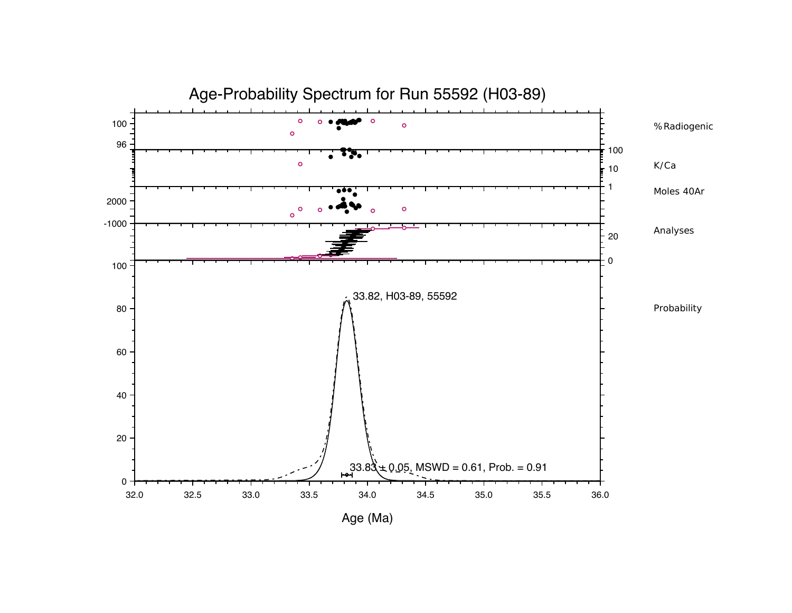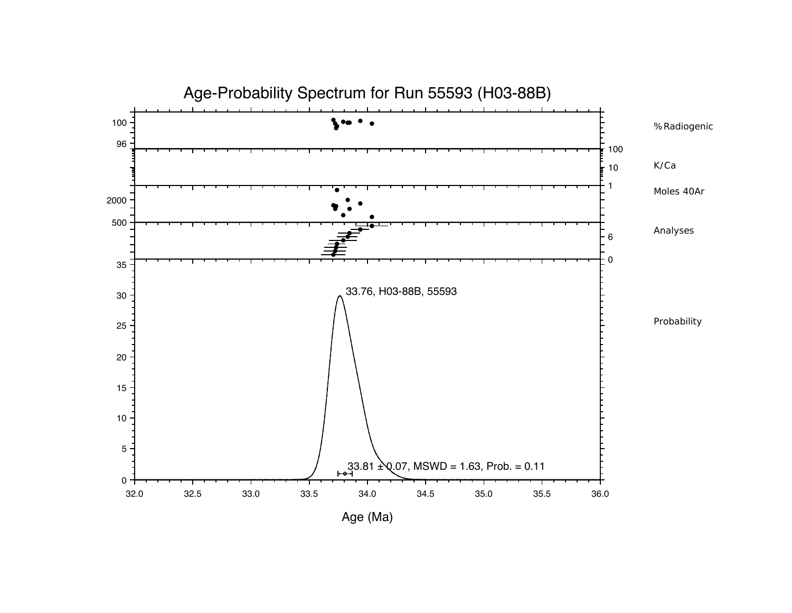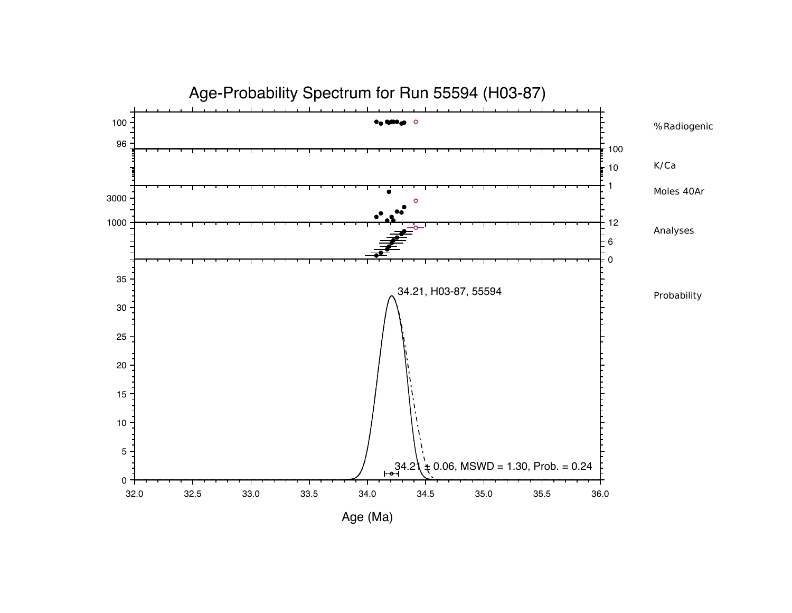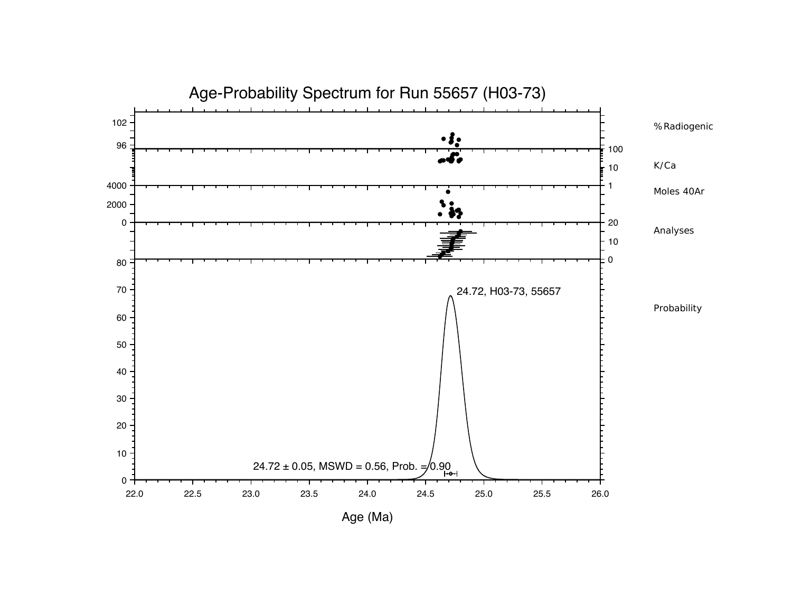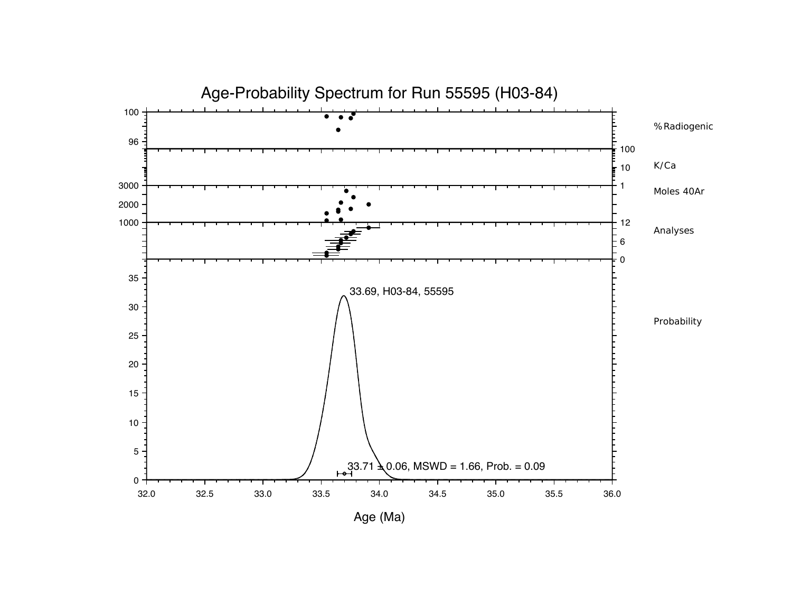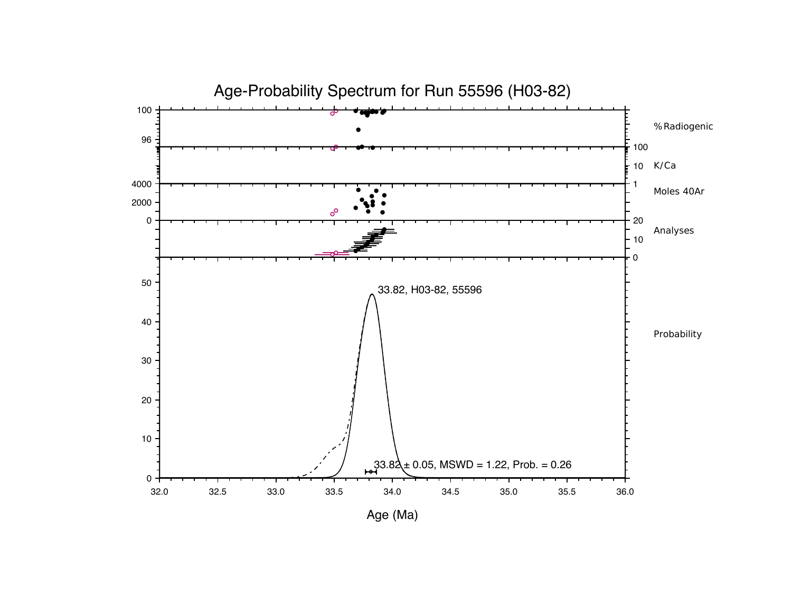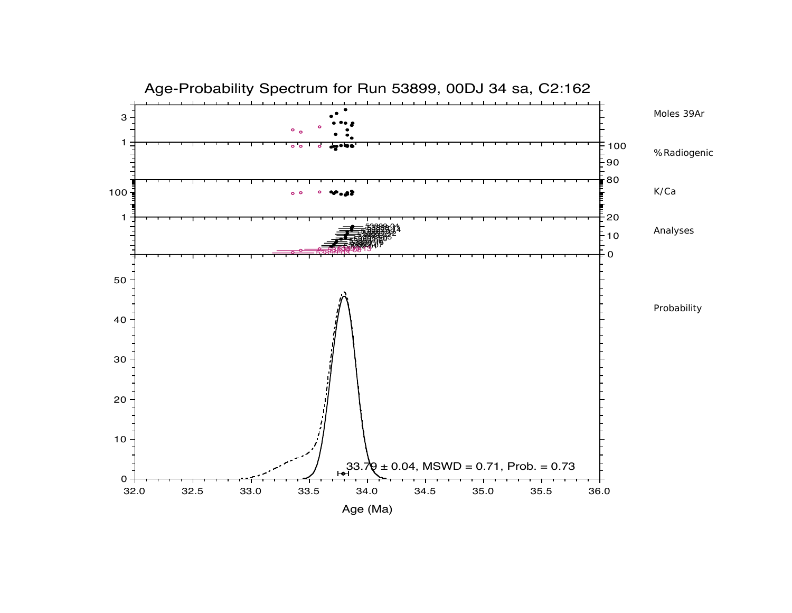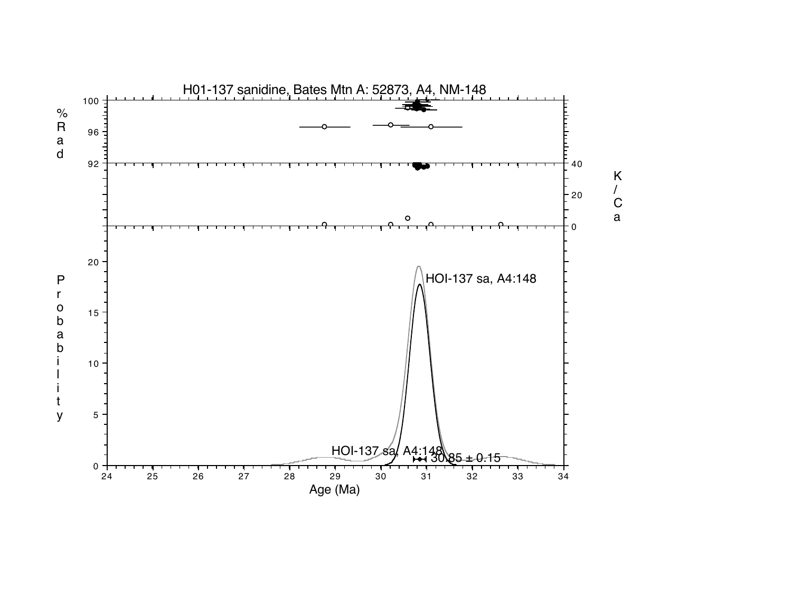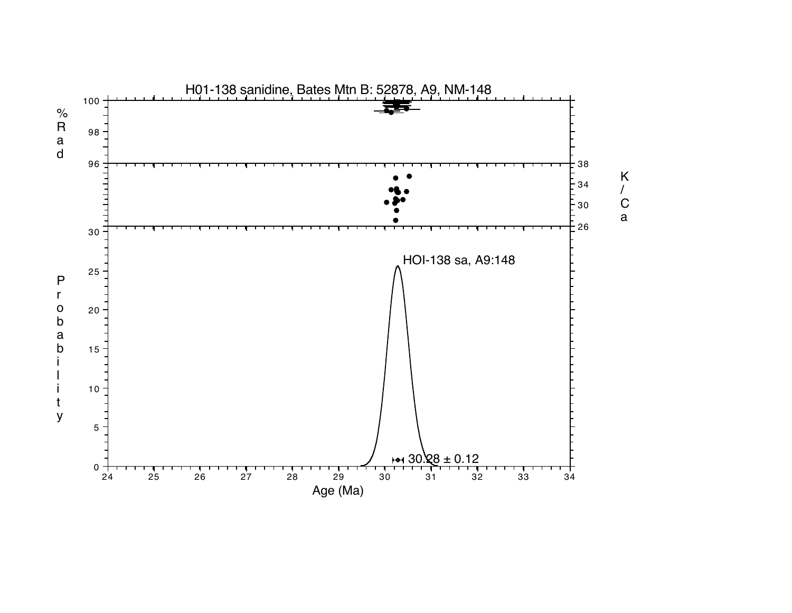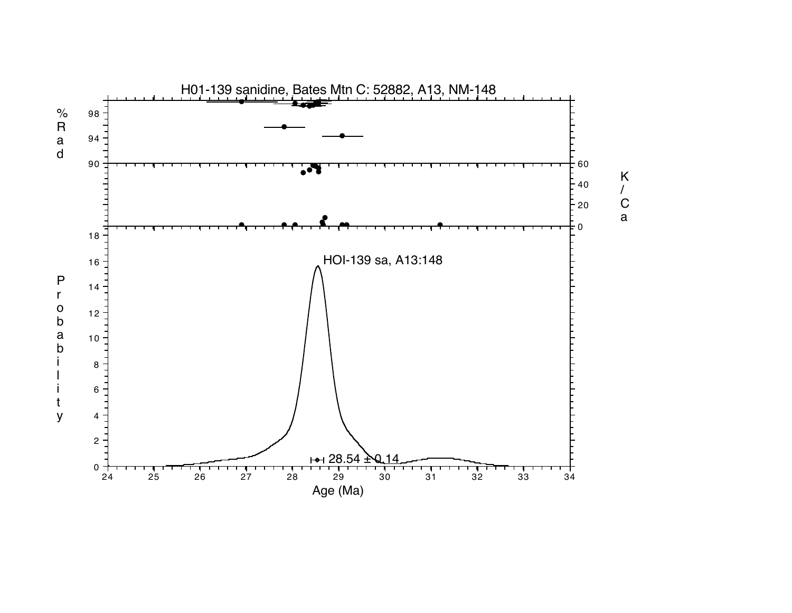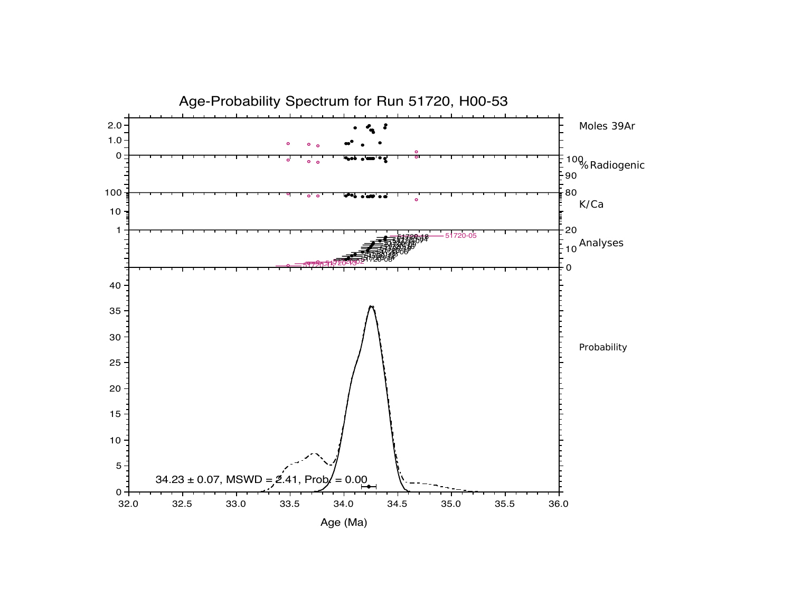